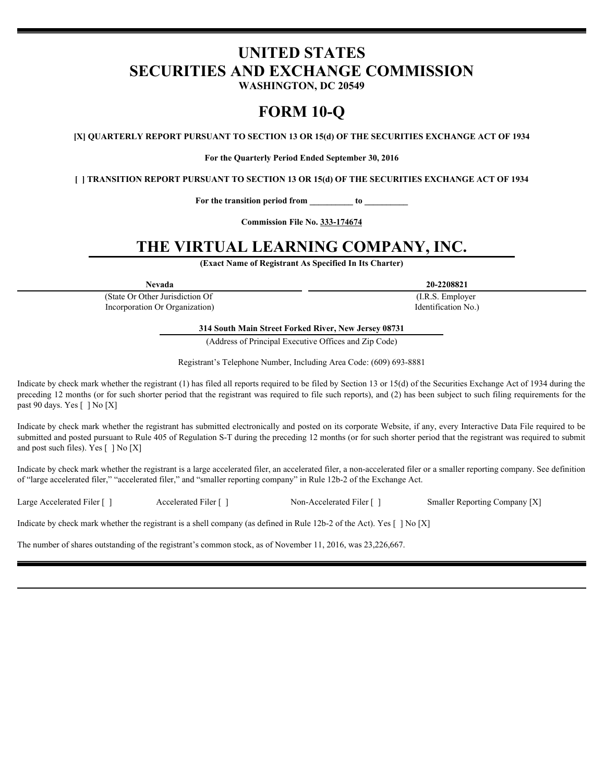# **UNITED STATES SECURITIES AND EXCHANGE COMMISSION**

**WASHINGTON, DC 20549**

# **FORM 10-Q**

**[X] QUARTERLY REPORT PURSUANT TO SECTION 13 OR 15(d) OF THE SECURITIES EXCHANGE ACT OF 1934**

**For the Quarterly Period Ended September 30, 2016**

**[ ] TRANSITION REPORT PURSUANT TO SECTION 13 OR 15(d) OF THE SECURITIES EXCHANGE ACT OF 1934**

**For the transition period from \_\_\_\_\_\_\_\_\_\_ to \_\_\_\_\_\_\_\_\_\_**

**Commission File No. 333-174674**

# **THE VIRTUAL LEARNING COMPANY, INC.**

**(Exact Name of Registrant As Specified In Its Charter)**

(State Or Other Jurisdiction Of Incorporation Or Organization)

**Nevada 20-2208821**

(I.R.S. Employer Identification No.)

**314 South Main Street Forked River, New Jersey 08731**

(Address of Principal Executive Offices and Zip Code)

Registrant's Telephone Number, Including Area Code: (609) 693-8881

Indicate by check mark whether the registrant (1) has filed all reports required to be filed by Section 13 or 15(d) of the Securities Exchange Act of 1934 during the preceding 12 months (or for such shorter period that the registrant was required to file such reports), and (2) has been subject to such filing requirements for the past 90 days. Yes [ ] No [X]

Indicate by check mark whether the registrant has submitted electronically and posted on its corporate Website, if any, every Interactive Data File required to be submitted and posted pursuant to Rule 405 of Regulation S-T during the preceding 12 months (or for such shorter period that the registrant was required to submit and post such files). Yes  $\lceil \cdot \rceil$  No  $\lceil X \rceil$ 

Indicate by check mark whether the registrant is a large accelerated filer, an accelerated filer, a non-accelerated filer or a smaller reporting company. See definition of "large accelerated filer," "accelerated filer," and "smaller reporting company" in Rule 12b-2 of the Exchange Act.

Large Accelerated Filer [ ] Accelerated Filer [ ] Non-Accelerated Filer [ ] Smaller Reporting Company [X]

Indicate by check mark whether the registrant is a shell company (as defined in Rule 12b-2 of the Act). Yes  $[ \ ]$  No  $[X]$ 

The number of shares outstanding of the registrant's common stock, as of November 11, 2016, was 23,226,667.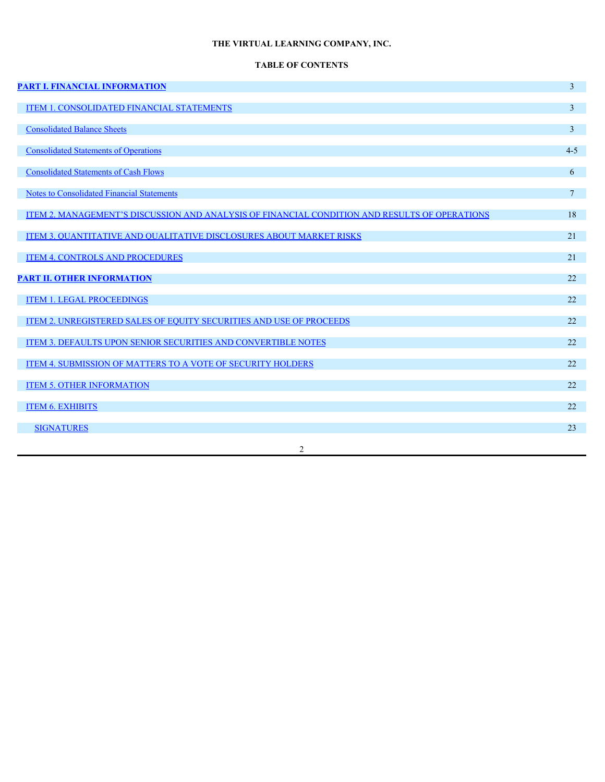# **TABLE OF CONTENTS**

| <b>PART I. FINANCIAL INFORMATION</b>                                                          | $\overline{3}$ |
|-----------------------------------------------------------------------------------------------|----------------|
| <b>ITEM 1. CONSOLIDATED FINANCIAL STATEMENTS</b>                                              | 3 <sup>1</sup> |
| <b>Consolidated Balance Sheets</b>                                                            | 3 <sup>7</sup> |
| <b>Consolidated Statements of Operations</b>                                                  | $4 - 5$        |
| <b>Consolidated Statements of Cash Flows</b>                                                  | 6              |
| <b>Notes to Consolidated Financial Statements</b>                                             | 7 <sup>7</sup> |
| ITEM 2. MANAGEMENT'S DISCUSSION AND ANALYSIS OF FINANCIAL CONDITION AND RESULTS OF OPERATIONS | 18             |
| <b>ITEM 3. QUANTITATIVE AND QUALITATIVE DISCLOSURES ABOUT MARKET RISKS</b>                    | 21             |
| <b>ITEM 4. CONTROLS AND PROCEDURES</b>                                                        | 21             |
| <b>PART II. OTHER INFORMATION</b>                                                             | 22             |
| <b>ITEM 1. LEGAL PROCEEDINGS</b>                                                              | 22             |
| ITEM 2. UNREGISTERED SALES OF EQUITY SECURITIES AND USE OF PROCEEDS                           | 22             |
| <b>ITEM 3. DEFAULTS UPON SENIOR SECURITIES AND CONVERTIBLE NOTES</b>                          | 22             |
| <b>ITEM 4. SUBMISSION OF MATTERS TO A VOTE OF SECURITY HOLDERS</b>                            | 22             |
| <b>ITEM 5. OTHER INFORMATION</b>                                                              | 22             |
| <b>ITEM 6. EXHIBITS</b>                                                                       | 22             |
| <b>SIGNATURES</b>                                                                             | 23             |
| $\overline{2}$                                                                                |                |
|                                                                                               |                |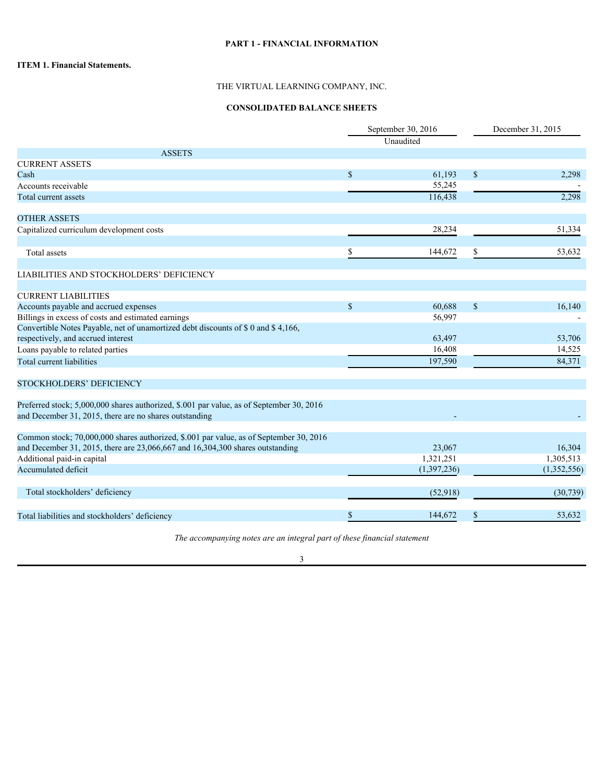## **PART 1 - FINANCIAL INFORMATION**

## **ITEM 1. Financial Statements.**

## THE VIRTUAL LEARNING COMPANY, INC.

## **CONSOLIDATED BALANCE SHEETS**

|                                                                                          |               | September 30, 2016<br>Unaudited |               | December 31, 2015 |
|------------------------------------------------------------------------------------------|---------------|---------------------------------|---------------|-------------------|
| <b>ASSETS</b>                                                                            |               |                                 |               |                   |
| <b>CURRENT ASSETS</b>                                                                    |               |                                 |               |                   |
| Cash                                                                                     | $\mathbb{S}$  | 61,193                          | $\mathbb{S}$  | 2,298             |
| Accounts receivable                                                                      |               | 55,245                          |               |                   |
| Total current assets                                                                     |               | 116,438                         |               | 2,298             |
|                                                                                          |               |                                 |               |                   |
| <b>OTHER ASSETS</b>                                                                      |               |                                 |               |                   |
| Capitalized curriculum development costs                                                 |               | 28,234                          |               | 51,334            |
|                                                                                          |               |                                 |               |                   |
| Total assets                                                                             |               | 144,672                         |               | 53,632            |
|                                                                                          |               |                                 |               |                   |
| LIABILITIES AND STOCKHOLDERS' DEFICIENCY                                                 |               |                                 |               |                   |
|                                                                                          |               |                                 |               |                   |
| <b>CURRENT LIABILITIES</b>                                                               |               |                                 |               |                   |
| Accounts payable and accrued expenses                                                    | $\mathcal{S}$ | 60,688                          | <sup>\$</sup> | 16,140            |
| Billings in excess of costs and estimated earnings                                       |               | 56,997                          |               |                   |
| Convertible Notes Payable, net of unamortized debt discounts of \$0 and \$4,166,         |               |                                 |               |                   |
| respectively, and accrued interest                                                       |               | 63,497                          |               | 53,706            |
| Loans payable to related parties                                                         |               | 16,408                          |               | 14,525            |
| Total current liabilities                                                                |               | 197,590                         |               | 84,371            |
|                                                                                          |               |                                 |               |                   |
| STOCKHOLDERS' DEFICIENCY                                                                 |               |                                 |               |                   |
| Preferred stock; 5,000,000 shares authorized, \$.001 par value, as of September 30, 2016 |               |                                 |               |                   |
| and December 31, 2015, there are no shares outstanding                                   |               |                                 |               |                   |
|                                                                                          |               |                                 |               |                   |
| Common stock; 70,000,000 shares authorized, \$.001 par value, as of September 30, 2016   |               |                                 |               |                   |
| and December 31, 2015, there are 23,066,667 and 16,304,300 shares outstanding            |               | 23,067                          |               | 16,304            |
| Additional paid-in capital                                                               |               | 1,321,251                       |               | 1,305,513         |
| Accumulated deficit                                                                      |               | (1,397,236)                     |               | (1,352,556)       |
|                                                                                          |               |                                 |               |                   |
| Total stockholders' deficiency                                                           |               | (52,918)                        |               | (30, 739)         |
|                                                                                          |               |                                 |               |                   |
| Total liabilities and stockholders' deficiency                                           |               | 144,672                         |               | 53,632            |
|                                                                                          |               |                                 |               |                   |

*The accompanying notes are an integral part of these financial statement*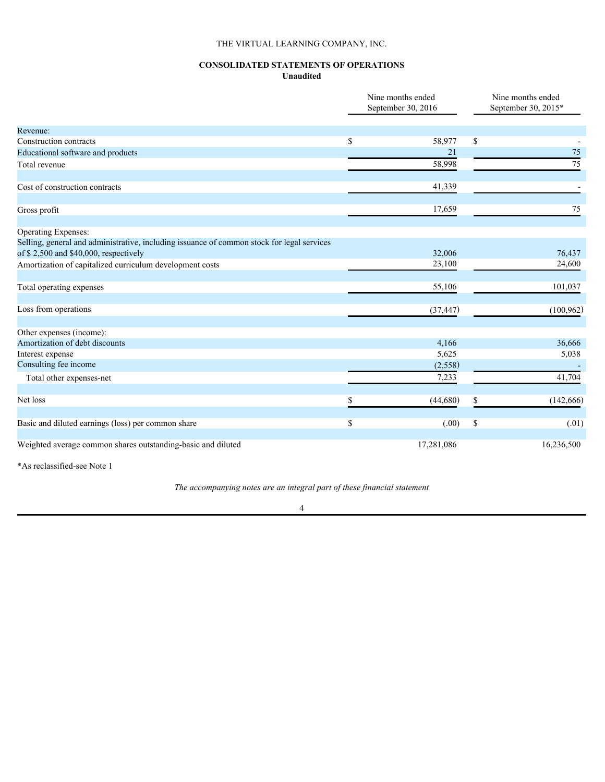## **CONSOLIDATED STATEMENTS OF OPERATIONS Unaudited**

|                                                                                            |               | Nine months ended<br>September 30, 2016 | Nine months ended<br>September 30, 2015* |
|--------------------------------------------------------------------------------------------|---------------|-----------------------------------------|------------------------------------------|
| Revenue:                                                                                   |               |                                         |                                          |
| Construction contracts                                                                     | \$            | 58,977                                  | \$                                       |
| Educational software and products                                                          |               | 21                                      | 75                                       |
| Total revenue                                                                              |               | 58,998                                  | 75                                       |
| Cost of construction contracts                                                             |               | 41,339                                  |                                          |
| Gross profit                                                                               |               | 17,659                                  | 75                                       |
| Operating Expenses:                                                                        |               |                                         |                                          |
| Selling, general and administrative, including issuance of common stock for legal services |               |                                         |                                          |
| of \$2,500 and \$40,000, respectively                                                      |               | 32,006                                  | 76,437                                   |
| Amortization of capitalized curriculum development costs                                   |               | 23,100                                  | 24,600                                   |
| Total operating expenses                                                                   |               | 55,106                                  | 101,037                                  |
| Loss from operations                                                                       |               | (37, 447)                               | (100, 962)                               |
| Other expenses (income):                                                                   |               |                                         |                                          |
| Amortization of debt discounts                                                             |               | 4,166                                   | 36,666                                   |
| Interest expense                                                                           |               | 5,625                                   | 5,038                                    |
| Consulting fee income                                                                      |               | (2, 558)                                |                                          |
| Total other expenses-net                                                                   |               | 7,233                                   | 41,704                                   |
| Net loss                                                                                   |               | (44,680)                                | (142, 666)                               |
| Basic and diluted earnings (loss) per common share                                         | <sup>\$</sup> | (.00)                                   | \$<br>(.01)                              |
| Weighted average common shares outstanding-basic and diluted                               |               | 17,281,086                              | 16,236,500                               |
|                                                                                            |               |                                         |                                          |

\*As reclassified-see Note 1

*The accompanying notes are an integral part of these financial statement*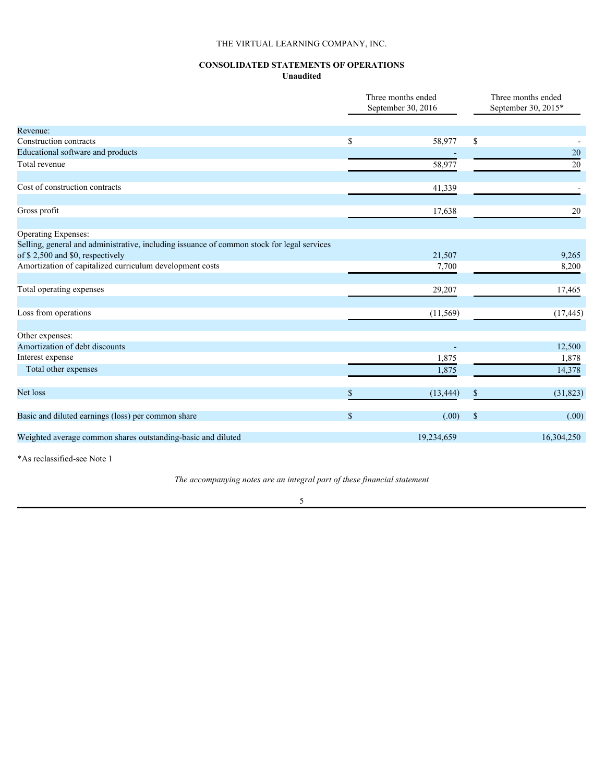## **CONSOLIDATED STATEMENTS OF OPERATIONS Unaudited**

|                                                                                            |              | Three months ended<br>September 30, 2016 |            | Three months ended<br>September 30, 2015* |
|--------------------------------------------------------------------------------------------|--------------|------------------------------------------|------------|-------------------------------------------|
| Revenue:                                                                                   |              |                                          |            |                                           |
| Construction contracts                                                                     | \$           | 58,977                                   | \$         |                                           |
| Educational software and products                                                          |              |                                          |            | 20                                        |
| Total revenue                                                                              |              | 58,977                                   |            | 20                                        |
| Cost of construction contracts                                                             |              | 41,339                                   |            |                                           |
| Gross profit                                                                               |              | 17,638                                   |            | 20                                        |
| Operating Expenses:                                                                        |              |                                          |            |                                           |
| Selling, general and administrative, including issuance of common stock for legal services |              |                                          |            |                                           |
| of \$2,500 and \$0, respectively                                                           |              | 21,507                                   |            | 9,265                                     |
| Amortization of capitalized curriculum development costs                                   |              | 7,700                                    |            | 8,200                                     |
| Total operating expenses                                                                   |              | 29,207                                   |            | 17,465                                    |
| Loss from operations                                                                       |              | (11, 569)                                |            | (17, 445)                                 |
|                                                                                            |              |                                          |            |                                           |
| Other expenses:                                                                            |              |                                          |            |                                           |
| Amortization of debt discounts                                                             |              |                                          |            | 12,500                                    |
| Interest expense                                                                           |              | 1,875                                    |            | 1,878                                     |
| Total other expenses                                                                       |              | 1,875                                    |            | 14,378                                    |
| Net loss                                                                                   |              | (13, 444)                                |            | (31, 823)                                 |
| Basic and diluted earnings (loss) per common share                                         | $\mathbb{S}$ | (.00)                                    | $^{\circ}$ | (.00)                                     |
| Weighted average common shares outstanding-basic and diluted                               |              | 19,234,659                               |            | 16,304,250                                |
|                                                                                            |              |                                          |            |                                           |

\*As reclassified-see Note 1

*The accompanying notes are an integral part of these financial statement*

5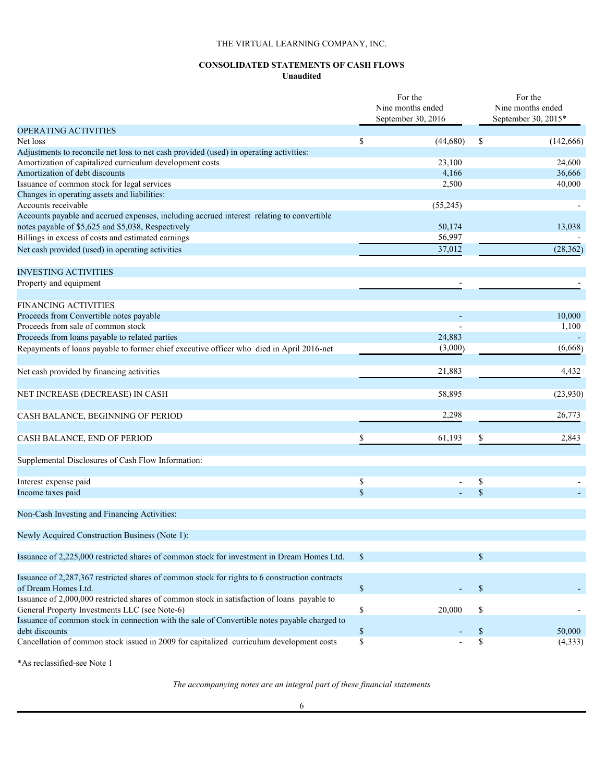## **CONSOLIDATED STATEMENTS OF CASH FLOWS Unaudited**

|                                                                                                            |                              | For the<br>Nine months ended<br>September 30, 2016 |                     | For the<br>Nine months ended<br>September 30, 2015* |
|------------------------------------------------------------------------------------------------------------|------------------------------|----------------------------------------------------|---------------------|-----------------------------------------------------|
| <b>OPERATING ACTIVITIES</b>                                                                                |                              |                                                    |                     |                                                     |
| Net loss                                                                                                   | \$                           | (44,680)                                           | <sup>\$</sup>       | (142, 666)                                          |
| Adjustments to reconcile net loss to net cash provided (used) in operating activities:                     |                              |                                                    |                     |                                                     |
| Amortization of capitalized curriculum development costs                                                   |                              | 23,100                                             |                     | 24,600                                              |
| Amortization of debt discounts                                                                             |                              | 4,166                                              |                     | 36,666                                              |
| Issuance of common stock for legal services                                                                |                              | 2,500                                              |                     | 40,000                                              |
| Changes in operating assets and liabilities:                                                               |                              |                                                    |                     |                                                     |
| Accounts receivable                                                                                        |                              | (55,245)                                           |                     |                                                     |
| Accounts payable and accrued expenses, including accrued interest relating to convertible                  |                              |                                                    |                     |                                                     |
| notes payable of \$5,625 and \$5,038, Respectively                                                         |                              | 50,174                                             |                     | 13,038                                              |
| Billings in excess of costs and estimated earnings                                                         |                              | 56,997                                             |                     |                                                     |
| Net cash provided (used) in operating activities                                                           |                              | 37,012                                             |                     | (28, 362)                                           |
|                                                                                                            |                              |                                                    |                     |                                                     |
| <b>INVESTING ACTIVITIES</b>                                                                                |                              |                                                    |                     |                                                     |
| Property and equipment                                                                                     |                              |                                                    |                     |                                                     |
|                                                                                                            |                              |                                                    |                     |                                                     |
| <b>FINANCING ACTIVITIES</b>                                                                                |                              |                                                    |                     |                                                     |
| Proceeds from Convertible notes payable                                                                    |                              |                                                    |                     | 10,000                                              |
| Proceeds from sale of common stock                                                                         |                              |                                                    |                     | 1,100                                               |
| Proceeds from loans payable to related parties                                                             |                              | 24,883                                             |                     |                                                     |
| Repayments of loans payable to former chief executive officer who died in April 2016-net                   |                              | (3,000)                                            |                     | (6,668)                                             |
| Net cash provided by financing activities                                                                  |                              | 21,883                                             |                     | 4,432                                               |
| NET INCREASE (DECREASE) IN CASH                                                                            |                              | 58,895                                             |                     | (23,930)                                            |
| CASH BALANCE, BEGINNING OF PERIOD                                                                          |                              | 2,298                                              |                     | 26,773                                              |
| CASH BALANCE, END OF PERIOD                                                                                |                              | 61,193                                             |                     | 2,843                                               |
|                                                                                                            |                              |                                                    |                     |                                                     |
| Supplemental Disclosures of Cash Flow Information:                                                         |                              |                                                    |                     |                                                     |
| Interest expense paid                                                                                      | \$                           | $\overline{\phantom{a}}$                           | S                   |                                                     |
| Income taxes paid                                                                                          | $\sqrt{\ }$                  |                                                    |                     |                                                     |
| Non-Cash Investing and Financing Activities:                                                               |                              |                                                    |                     |                                                     |
|                                                                                                            |                              |                                                    |                     |                                                     |
| Newly Acquired Construction Business (Note 1):                                                             |                              |                                                    |                     |                                                     |
| Issuance of 2,225,000 restricted shares of common stock for investment in Dream Homes Ltd.                 | -S                           |                                                    | <sup>\$</sup>       |                                                     |
| Issuance of 2,287,367 restricted shares of common stock for rights to 6 construction contracts             |                              |                                                    |                     |                                                     |
| of Dream Homes Ltd.                                                                                        | $\mathbb{S}$                 |                                                    | <sup>\$</sup>       |                                                     |
| Issuance of 2,000,000 restricted shares of common stock in satisfaction of loans payable to                |                              |                                                    |                     |                                                     |
| General Property Investments LLC (see Note-6)                                                              | \$                           | 20,000                                             | \$                  |                                                     |
| Issuance of common stock in connection with the sale of Convertible notes payable charged to               |                              |                                                    |                     |                                                     |
| debt discounts<br>Cancellation of common stock issued in 2009 for capitalized curriculum development costs | $\mathbb{S}$<br>$\mathbb{S}$ |                                                    | <sup>\$</sup><br>\$ | 50,000                                              |
|                                                                                                            |                              |                                                    |                     | (4, 333)                                            |

\*As reclassified-see Note 1

*The accompanying notes are an integral part of these financial statements*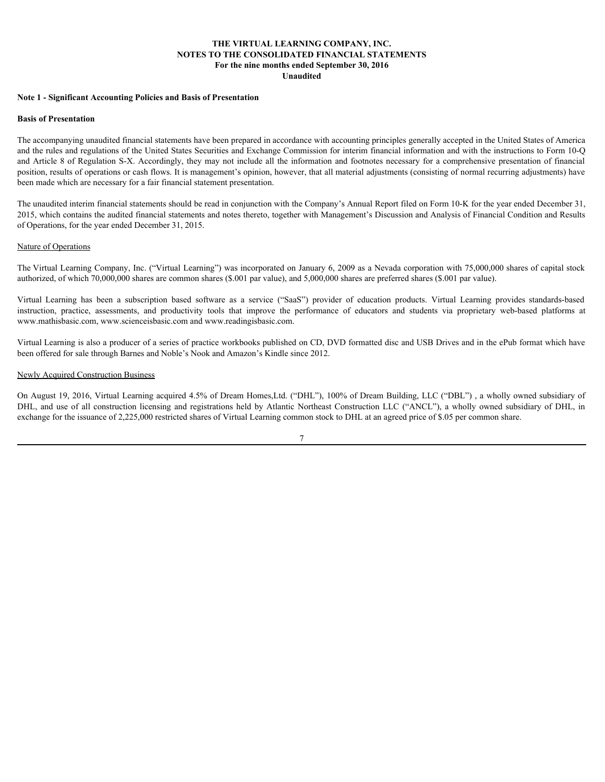#### **THE VIRTUAL LEARNING COMPANY, INC. NOTES TO THE CONSOLIDATED FINANCIAL STATEMENTS For the nine months ended September 30, 2016 Unaudited**

#### **Note 1 - Significant Accounting Policies and Basis of Presentation**

#### **Basis of Presentation**

The accompanying unaudited financial statements have been prepared in accordance with accounting principles generally accepted in the United States of America and the rules and regulations of the United States Securities and Exchange Commission for interim financial information and with the instructions to Form 10-Q and Article 8 of Regulation S-X. Accordingly, they may not include all the information and footnotes necessary for a comprehensive presentation of financial position, results of operations or cash flows. It is management's opinion, however, that all material adjustments (consisting of normal recurring adjustments) have been made which are necessary for a fair financial statement presentation. **VIFTE VIRTUAL LEARNING COMPANY, INC.**<br> **NOTES TO THE CONSOLIDATED FYNANCIAL STATEMENTS**<br> **The energy of the subscription of the energy of the energy of the energy of the energy of the energy of the energy of the energy o Example 1. Spatificant Accounting Policies and Basis of Presentation**<br> **For the taile consistent ACCOM** in Detail Consistent CONSIDIATIVE (The CONSIDENTATIVE CONSIDENTATIVE)<br> **The recompanying models of the United State** Note 1 - Significant Accounting Policies and Basis of Presentation<br>Basis of Presentation<br>The accompanying mead to filmed States Securities and Prelange Commission for internsition for and the form of the United States Cons

The unaudited interim financial statements should be read in conjunction with the Company's Annual Report filed on Form 10-K for the year ended December 31, 2015, which contains the audited financial statements and notes thereto, together with Management's Discussion and Analysis of Financial Condition and Results of Operations, for the year ended December 31, 2015.

#### Nature of Operations

The Virtual Learning Company, Inc. ("Virtual Learning") was incorporated on January 6, 2009 as a Nevada corporation with 75,000,000 shares of capital stock authorized, of which 70,000,000 shares are common shares (\$.001 par value), and 5,000,000 shares are preferred shares (\$.001 par value).

www.mathisbasic.com, www.scienceisbasic.com and www.readingisbasic.com.

Virtual Learning is also a producer of a series of practice workbooks published on CD, DVD formatted disc and USB Drives and in the ePub format which have been offered for sale through Barnes and Noble's Nook and Amazon's Kindle since 2012.

#### Newly Acquired Construction Business

On August 19, 2016, Virtual Learning acquired 4.5% of Dream Homes,Ltd. ("DHL"), 100% of Dream Building, LLC ("DBL") , a wholly owned subsidiary of exchange for the issuance of 2,225,000 restricted shares of Virtual Learning common stock to DHL at an agreed price of \$.05 per common share.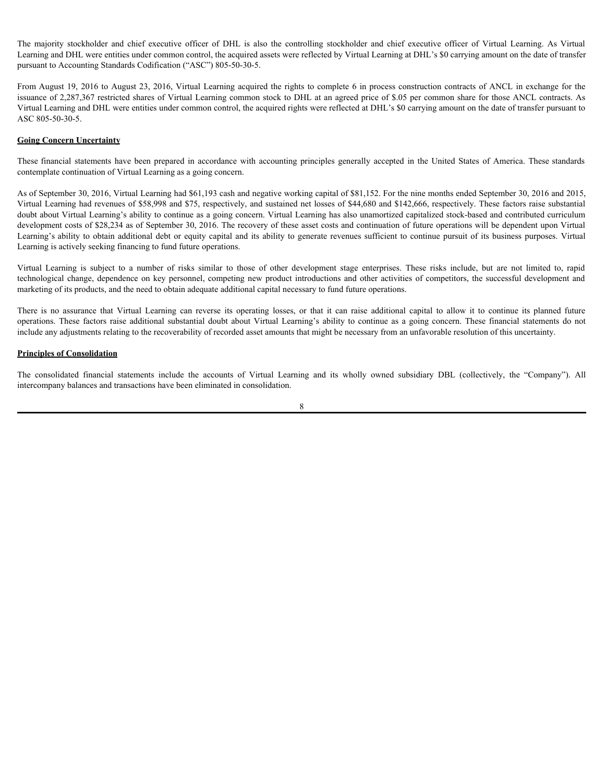Learning and DHL were entities under common control, the acquired assets were reflected by Virtual Learning at DHL's \$0 carrying amount on the date of transfer pursuant to Accounting Standards Codification ("ASC") 805-50-30-5.

The majority stockholder and chief executive officer of DHL is also the controlling stockholder and chief executive officer of Virtual Learning. As Virtual Learning and DHL were entities under common control, the acquired From August 19, 2016 to August 23, 2016, Virtual Learning acquired the rights to complete 6 in process construction contracts of ANCL in exchange for the issuance of 2,287,367 restricted shares of Virtual Learning common stock to DHL at an agreed price of \$.05 per common share for those ANCL contracts. As Virtual Learning and DHL were entities under common control, the acquired rights were reflected at DHL's \$0 carrying amount on the date of transfer pursuant to ASC 805-50-30-5.

#### **Going Concern Uncertainty**

contemplate continuation of Virtual Learning as a going concern.

The majority stockholder and chief executive officer of DHL is also the controlling stockholder and chief executive officer of Virtual Learning. As Virtual<br>Learning and DHL were entities under common control, the acquired As of September 30, 2016, Virtual Learning had \$61,193 cash and negative working capital of \$81,152. For the nine months ended September 30, 2016 and 2015, Virtual Learning had revenues of \$58,998 and \$75, respectively, and sustained net losses of \$44,680 and \$142,666, respectively. These factors raise substantial doubt about Virtual Learning's ability to continue as a going concern. Virtual Learning has also unamortized capitalized stock-based and contributed curriculum development costs of \$28,234 as of September 30, 2016. The recovery of these asset costs and continuation of future operations will be dependent upon Virtual The majority stockholder and chief executive officer of DHL is also the controlling stockholder and chief executive officer of Virtual Andrease Contemp and DHL and the contemp and DHL and the contemp and DHL and the contem Learning is actively seeking financing to fund future operations. The majority encelledder and ehief executive officer of DHL is also the controlling soncholder and child f executive officer of Virtual Learning and DHL were centre enterpresent of DHL in alternation and the computer of D The majority stockholder and chief executive officer of DH1, is also the controlling stockholder and chief executive officer of Virtual Lemanniage and DH1, we certainting and DH1, we controlline and DH1, we complete the ma The magnety shickbookar and chief executive officer of DHI, is also the controller gradient and interference interference interference interference interference interference interference interference in the contents and th The majority stockboder and chief executive officer of DHI, is also be controlling stockboder and delic offices of Figures and Hi in the majority and the majority are related by Virtual I energies and the majority and the Toming and 1011 operating and the consolidated and the magnitude section with the main of accounts and the statements and the statements of ANCL in excluding the financial DRA is a statement of ASNC 10.5 to August 23, 2016

marketing of its products, and the need to obtain adequate additional capital necessary to fund future operations.

include any adjustments relating to the recoverability of recorded asset amounts that might be necessary from an unfavorable resolution of this uncertainty.

#### **Principles of Consolidation**

intercompany balances and transactions have been eliminated in consolidation.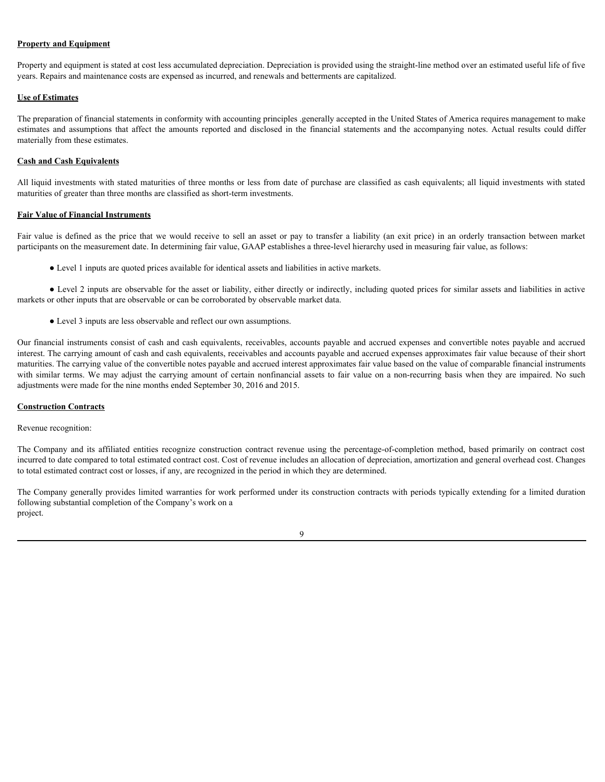## **Property and Equipment**

Property and equipment is stated at cost less accumulated depreciation. Depreciation is provided using the straight-line method over an estimated useful life of five years. Repairs and maintenance costs are expensed as incurred, and renewals and betterments are capitalized.

## **Use of Estimates**

The preparation of financial statements in conformity with accounting principles .generally accepted in the United States of America requires management to make **Property and Equipment**<br>Property and equipment is stated at cost less accumulated depreciation. Depreciation is provided using the straight-line method over an estimated useful life of five<br> **Lise of Estimates**<br> **The prep** materially from these estimates. **Property and Equipment**<br>
Property and equipment is stated at cost less accumulated depreciation. Depreciation is provided using the straight-line method over an estimated useful life of five<br> **Use of Extinates**<br>
Vite pre

## **Cash and Cash Equivalents**

All liquid investments with stated maturities of three months or less from date of purchase are classified as cash equivalents; all liquid investments with stated maturities of greater than three months are classified as short-term investments.

#### **Fair Value of Financial Instruments**

participants on the measurement date. In determining fair value, GAAP establishes a three-level hierarchy used in measuring fair value, as follows:

● Level 1 inputs are quoted prices available for identical assets and liabilities in active markets.

● Level 2 inputs are observable for the asset or liability, either directly or indirectly, including quoted prices for similar assets and liabilities in active markets or other inputs that are observable or can be corroborated by observable market data.

● Level 3 inputs are less observable and reflect our own assumptions.

Our financial instruments consist of cash and cash equivalents, receivables, accounts payable and accrued expenses and convertible notes payable and accrued interest. The carrying amount of cash and cash equivalents, receivables and accounts payable and accrued expenses approximates fair value because of their short maturities. The carrying value of the convertible notes payable and accrued interest approximates fair value based on the value of comparable financial instruments Preparty and explorest is stated at cost less accomulated depreciation Depresiation is provided assign for employment of means applicable the amount of fractional and alternation and the carrying amount of fractional and adjustments were made for the nine months ended September 30, 2016 and 2015. estimate and assembles that affiliat the amounts reported and disclosed in the financial statements and the assembles of the construction contract contract the company in the company of the method. All injudi investments w

## **Construction Contracts**

Revenue recognition:

incurred to date compared to total estimated contract cost. Cost of revenue includes an allocation of depreciation, amortization and general overhead cost. Changes to total estimated contract cost or losses, if any, are recognized in the period in which they are determined.

The Company generally provides limited warranties for work performed under its construction contracts with periods typically extending for a limited duration following substantial completion of the Company's work on a project.

| ۰.            |   |
|---------------|---|
|               |   |
|               |   |
|               |   |
| ۰.<br>۰.<br>I | ٠ |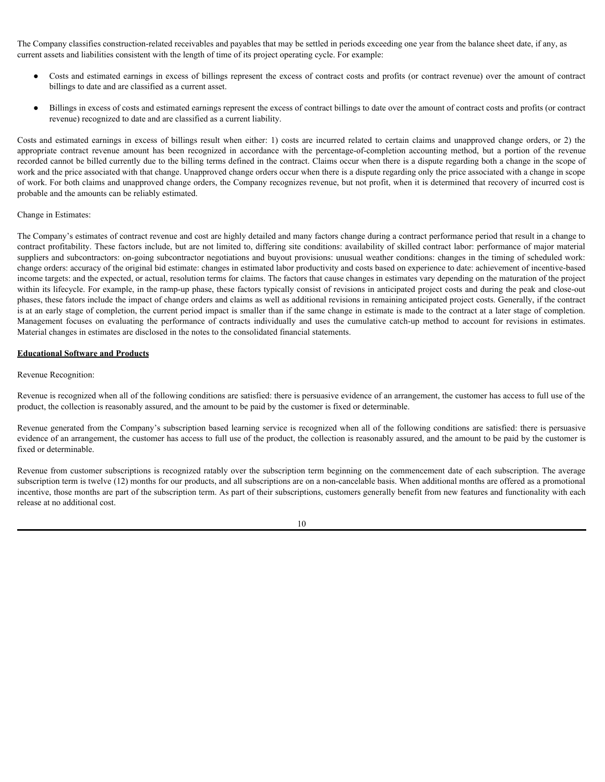The Company classifies construction-related receivables and payables that may be settled in periods exceeding one year from the balance sheet date, if any, as current assets and liabilities consistent with the length of time of its project operating cycle. For example:

- Costs and estimated earnings in excess of billings represent the excess of contract costs and profits (or contract revenue) over the amount of contract billings to date and are classified as a current asset.
- Billings in excess of costs and estimated earnings represent the excess of contract billings to date over the amount of contract costs and profits (or contract revenue) recognized to date and are classified as a current liability.

The Company classifies construction-related receivables and payables that may be settled in periods exceeding one year from the balance sheet date, if any, as<br>current assets and simulated carnings in excess of billings rep The Company classifies construction-related receivables and payables that may be settled in periods exceeding one year from the balance sheet date, if any, as<br>current assets and liabilities consistent with the length of ti recorded cannot be billed currently due to the billing terms defined in the contract. Claims occur when there is a dispute regarding both a change in the scope of work and the price associated with that change. Unapproved change orders occur when there is a dispute regarding only the price associated with a change in scope of work. For both claims and unapproved change orders, the Company recognizes revenue, but not profit, when it is determined that recovery of incurred cost is probable and the amounts can be reliably estimated.

#### Change in Estimates:

The Company's estimates of contract revenue and cost are highly detailed and many factors change during a contract performance period that result in a change to contract profitability. These factors include, but are not limited to, differing site conditions: availability of skilled contract labor: performance of major material suppliers and subcontractors: on-going subcontractor negotiations and buyout provisions: unusual weather conditions: changes in the timing of scheduled work: change orders: accuracy of the original bid estimate: changes in estimated labor productivity and costs based on experience to date: achievement of incentive-based income targets: and the expected, or actual, resolution terms for claims. The factors that cause changes in estimates vary depending on the maturation of the project within its lifecycle. For example, in the ramp-up phase, these factors typically consist of revisions in anticipated project costs and during the peak and close-out phases, these fators include the impact of change orders and claims as well as additional revisions in remaining anticipated project costs. Generally, if the contract is at an early stage of completion, the current period impact is smaller than if the same change in estimate is made to the contract at a later stage of completion. The Company classifies construction-plated receivables and guyables that may be settled in periods executing one year from the balance sheet (i.f. any, as<br>
Course and the situation consistent with the length of firme of i Material changes in estimates are disclosed in the notes to the consolidated financial statements.

#### **Educational Software and Products**

#### Revenue Recognition:

Revenue is recognized when all of the following conditions are satisfied: there is persuasive evidence of an arrangement, the customer has access to full use of the product, the collection is reasonably assured, and the amount to be paid by the customer is fixed or determinable.

Revenue generated from the Company's subscription based learning service is recognized when all of the following conditions are satisfied: there is persuasive evidence of an arrangement, the customer has access to full use of the product, the collection is reasonably assured, and the amount to be paid by the customer is fixed or determinable.

Revenue from customer subscriptions is recognized ratably over the subscription term beginning on the commencement date of each subscription. The average subscription term is twelve (12) months for our products, and all subscriptions are on a non-cancelable basis. When additional months are offered as a promotional incentive, those months are part of the subscription term. As part of their subscriptions, customers generally benefit from new features and functionality with each release at no additional cost.

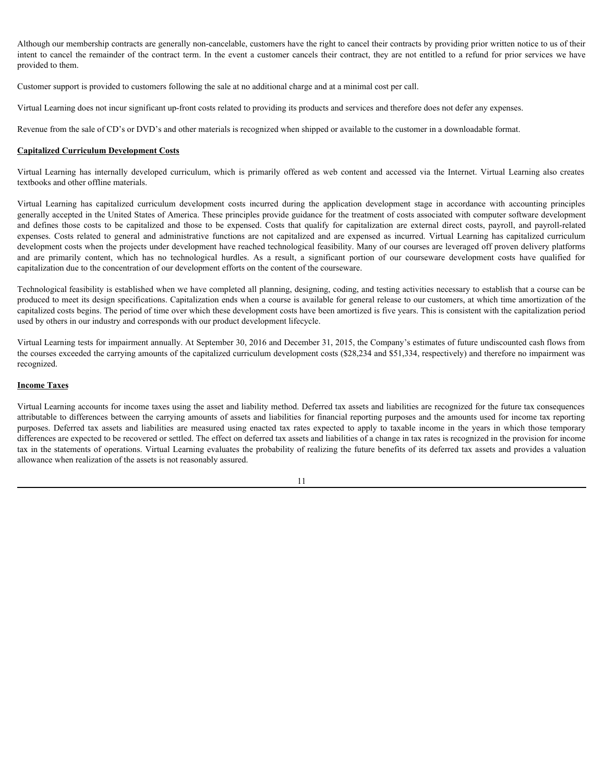Although our membership contracts are generally non-cancelable, customers have the right to cancel their contracts by providing prior written notice to us of their intent to cancel the remainder of the contract term. In the event a customer cancels their contract, they are not entitled to a refund for prior services we have provided to them.

Customer support is provided to customers following the sale at no additional charge and at a minimal cost per call.

Virtual Learning does not incur significant up-front costs related to providing its products and services and therefore does not defer any expenses.

Revenue from the sale of CD's or DVD's and other materials is recognized when shipped or available to the customer in a downloadable format.

## **Capitalized Curriculum Development Costs**

textbooks and other offline materials.

Although our membership contracts are generally non-cancelable, customers have the right to cancel their contracts by providing prior written notice to us of their<br>intent to cancel the remainder of the contract term. In th Although our membership contracts are generally non-cancelable, customers have the right to cancel their contracts by providing prior written notice to us of their mented to a remander of the contract of m. In the event a generally accepted in the United States of America. These principles provide guidance for the treatment of costs associated with computer software development Although our membership contracts are generally non-cancelable, customers have the right to cancel their contracts by providing prior written notice to us of their<br>ment to rancel to them.<br>Constoner anyont is provided to ca Although our membership contracts are generally non-cancelable, casiomers inver the right to cancel their contracts by providing prior written notice to us of their anounced to fermulate or ancel the remanned or fine contr development costs when the projects under development have reached technological feasibility. Many of our courses are leveraged off proven delivery platforms Although our membership contracts are generally non-earcelable, customers have the right to content by providing prior written noited to use of their are the most the result of the most of the has most of the content of t capitalization due to the concentration of our development efforts on the content of the courseware. Vental Forming does not more significant up-form costs velocid to providing its products and such constrained the constrained transformation of the also of the constrained transformation. We<br>are also the such as the const

Technological feasibility is established when we have completed all planning, designing, coding, and testing activities necessary to establish that a course can be produced to meet its design specifications. Capitalization ends when a course is available for general release to our customers, at which time amortization of the capitalized costs begins. The period of time over which these development costs have been amortized is five years. This is consistent with the capitalization period used by others in our industry and corresponds with our product development lifecycle.

Virtual Learning tests for impairment annually. At September 30, 2016 and December 31, 2015, the Company's estimates of future undiscounted cash flows from the courses exceeded the carrying amounts of the capitalized curriculum development costs (\$28,234 and \$51,334, respectively) and therefore no impairment was recognized.

## **Income Taxes**

Virtual Learning accounts for income taxes using the asset and liability method. Deferred tax assets and liabilities are recognized for the future tax consequences attributable to differences between the carrying amounts of assets and liabilities for financial reporting purposes and the amounts used for income tax reporting differences are expected to be recovered or settled. The effect on deferred tax assets and liabilities of a change in tax rates is recognized in the provision for income tax in the statements of operations. Virtual Learning evaluates the probability of realizing the future benefits of its deferred tax assets and provides a valuation allowance when realization of the assets is not reasonably assured.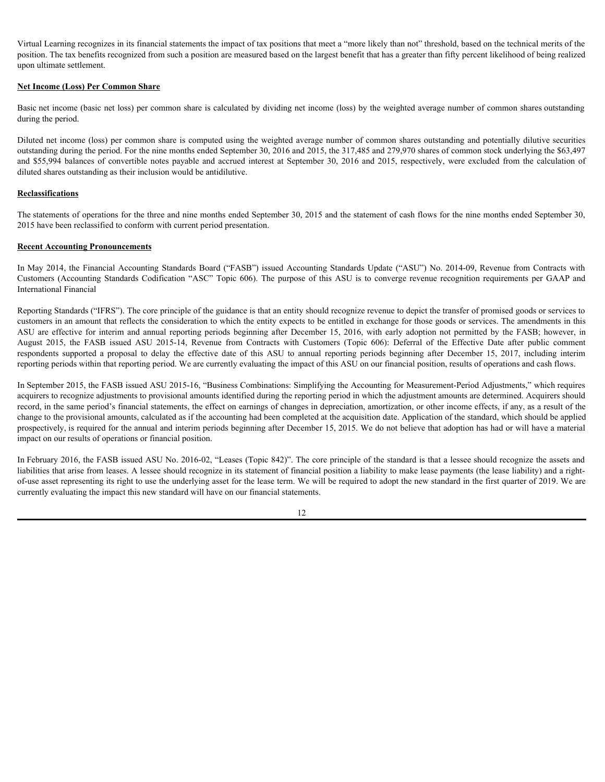Virtual Learning recognizes in its financial statements the impact of tax positions that meet a "more likely than not" threshold, based on the technical merits of the position. The tax benefits recognized from such a position are measured based on the largest benefit that has a greater than fifty percent likelihood of being realized upon ultimate settlement.

## **Net Income (Loss) Per Common Share**

Basic net income (basic net loss) per common share is calculated by dividing net income (loss) by the weighted average number of common shares outstanding during the period.

Diluted net income (loss) per common share is computed using the weighted average number of common shares outstanding and potentially dilutive securities outstanding during the period. For the nine months ended September 30, 2016 and 2015, the 317,485 and 279,970 shares of common stock underlying the \$63,497 Virtual Learning recognizes in its financial statements the impact of tax positions that meet a "more likely than not" threshold, based on the technical merits of the position. The tax benefits recognized from such a posit diluted shares outstanding as their inclusion would be antidilutive.

## **Reclassifications**

The statements of operations for the three and nine months ended September 30, 2015 and the statement of cash flows for the nine months ended September 30, 2015 have been reclassified to conform with current period presentation.

## **Recent Accounting Pronouncements**

In May 2014, the Financial Accounting Standards Board ("FASB") issued Accounting Standards Update ("ASU") No. 2014-09, Revenue from Contracts with International Financial

Virital I earning recognizes in its financial statements the impact of lav passitions that meet a "wore likely than nat" fruchold, based on the taching a position of Distributed Decision and the interaction. The accounts a Reporting Standards ("IFRS"). The core principle of the guidance is that an entity should recognize revenue to depict the transfer of promised goods or services to customers in an amount that reflects the consideration to which the entity expects to be entitled in exchange for those goods or services. The amendments in this Vintal Lemanig soospinon in is funnoial stationents the impact of tax positions that not a "nearch lebt) than on" threshold, bused on the beginning term in the second on the legent bonefit that has a gooder that fifty per Vimal Loming recognize is its famoisi strement the impact of ax positions that need to controllate that meet in the controllate of the public contracts the Controllate Contracts Controllate the controllate Controllate Cont Vitual Lenning exocataes in its famerial statements the impact of tax positions that note a magnetic area fronties. The second from the contents respondent to the contents respondent to the contents respondent to the effe reporting periods within that reporting period. We are currently evaluating the impact of this ASU on our financial position, results of operations and cash flows.

In September 2015, the FASB issued ASU 2015-16, "Business Combinations: Simplifying the Accounting for Measurement-Period Adjustments," which requires acquirers to recognize adjustments to provisional amounts identified during the reporting period in which the adjustment amounts are determined. Acquirers should record, in the same period's financial statements, the effect on earnings of changes in depreciation, amortization, or other income effects, if any, as a result of the change to the provisional amounts, calculated as if the accounting had been completed at the acquisition date. Application of the standard, which should be applied prospectively, is required for the annual and interim periods beginning after December 15, 2015. We do not believe that adoption has had or will have a material impact on our results of operations or financial position.

In February 2016, the FASB issued ASU No. 2016-02, "Leases (Topic 842)". The core principle of the standard is that a lessee should recognize the assets and liabilities that arise from leases. A lessee should recognize in its statement of financial position a liability to make lease payments (the lease liability) and a rightof-use asset representing its right to use the underlying asset for the lease term. We will be required to adopt the new standard in the first quarter of 2019. We are currently evaluating the impact this new standard will have on our financial statements.

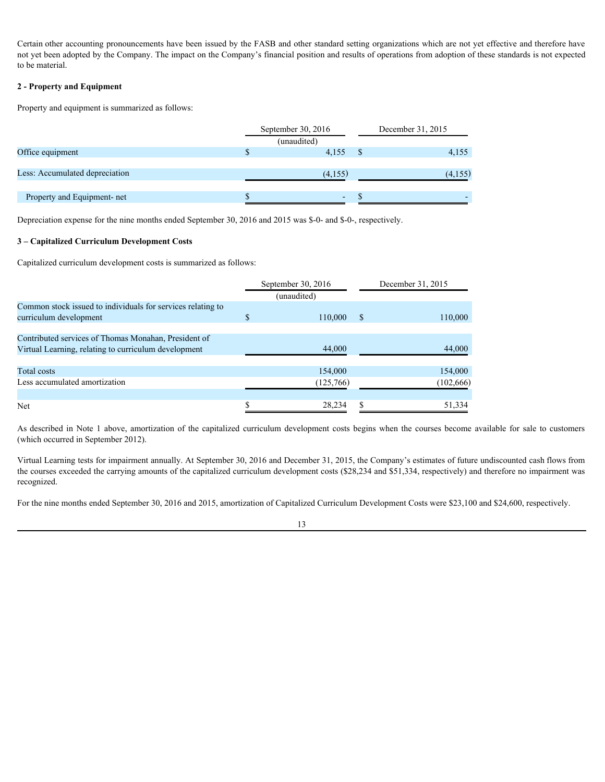Certain other accounting pronouncements have been issued by the FASB and other standard setting organizations which are not yet effective and therefore have not yet been adopted by the Company. The impact on the Company's financial position and results of operations from adoption of these standards is not expected to be material.

## **2 - Property and Equipment**

|                                | September 30, 2016 | December 31, 2015 |
|--------------------------------|--------------------|-------------------|
|                                | (unaudited)        |                   |
| Office equipment               | 4,155              | 4,155             |
|                                |                    |                   |
| Less: Accumulated depreciation | (4,155)            | (4,155)           |
|                                |                    |                   |
| Property and Equipment- net    | $\overline{a}$     |                   |
|                                |                    |                   |

#### **3 – Capitalized Curriculum Development Costs**

| Property and equipment is summarized as follows:                                                                                                                                                                                                                                                                                              |                                   |      |                       |
|-----------------------------------------------------------------------------------------------------------------------------------------------------------------------------------------------------------------------------------------------------------------------------------------------------------------------------------------------|-----------------------------------|------|-----------------------|
|                                                                                                                                                                                                                                                                                                                                               | September 30, 2016                |      | December 31, 2015     |
| Office equipment                                                                                                                                                                                                                                                                                                                              | (unaudited)<br>$4,155$ \$         |      | 4,155                 |
| Less: Accumulated depreciation                                                                                                                                                                                                                                                                                                                | (4,155)                           |      | (4,155)               |
| Property and Equipment- net                                                                                                                                                                                                                                                                                                                   | $\sim$                            |      |                       |
| Depreciation expense for the nine months ended September 30, 2016 and 2015 was \$-0- and \$-0-, respectively.                                                                                                                                                                                                                                 |                                   |      |                       |
| 3 - Capitalized Curriculum Development Costs                                                                                                                                                                                                                                                                                                  |                                   |      |                       |
| Capitalized curriculum development costs is summarized as follows:                                                                                                                                                                                                                                                                            |                                   |      |                       |
|                                                                                                                                                                                                                                                                                                                                               | September 30, 2016<br>(unaudited) |      | December 31, 2015     |
| Common stock issued to individuals for services relating to<br>curriculum development                                                                                                                                                                                                                                                         | 110,000<br>$\mathcal{S}$          | - \$ | 110,000               |
| Contributed services of Thomas Monahan, President of<br>Virtual Learning, relating to curriculum development                                                                                                                                                                                                                                  | 44,000                            |      | 44,000                |
|                                                                                                                                                                                                                                                                                                                                               |                                   |      |                       |
| <b>Total costs</b><br>Less accumulated amortization                                                                                                                                                                                                                                                                                           | 154,000<br>(125,766)              |      | 154,000<br>(102, 666) |
| Net                                                                                                                                                                                                                                                                                                                                           | 28,234                            |      | 51,334                |
| As described in Note 1 above, amortization of the capitalized curriculum development costs begins when the courses become available for sale to customers                                                                                                                                                                                     |                                   |      |                       |
| (which occurred in September 2012).                                                                                                                                                                                                                                                                                                           |                                   |      |                       |
| Virtual Learning tests for impairment annually. At September 30, 2016 and December 31, 2015, the Company's estimates of future undiscounted cash flows from<br>the courses exceeded the carrying amounts of the capitalized curriculum development costs (\$28,234 and \$51,334, respectively) and therefore no impairment was<br>recognized. |                                   |      |                       |
| For the nine months ended September 30, 2016 and 2015, amortization of Capitalized Curriculum Development Costs were \$23,100 and \$24,600, respectively.                                                                                                                                                                                     |                                   |      |                       |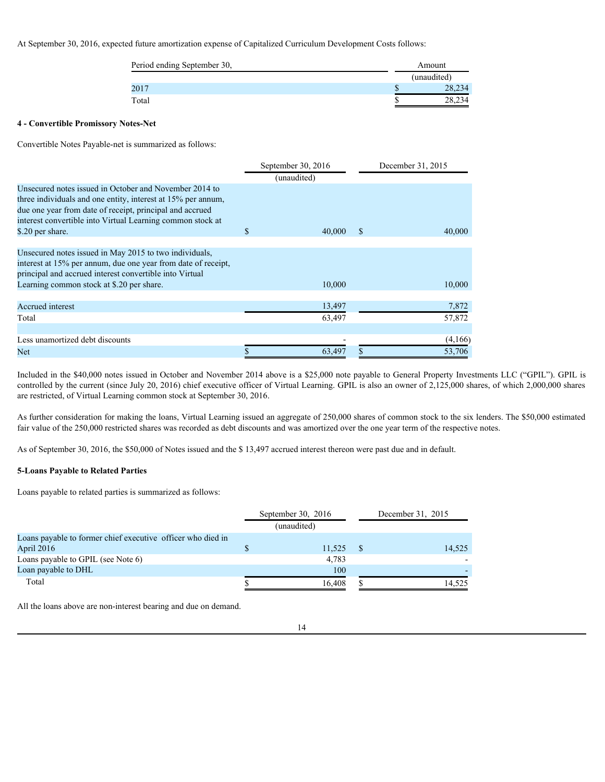## At September 30, 2016, expected future amortization expense of Capitalized Curriculum Development Costs follows:

| Period ending September 30, | Amount      |
|-----------------------------|-------------|
|                             | (unaudited) |
| 2017                        | 28,234      |
| Total                       | 28,234      |

## **4 - Convertible Promissory Notes-Net**

Convertible Notes Payable-net is summarized as follows:

|                                                                                                                                                                                                                                                                      | September 30, $2016$<br>(unaudited) |              | December 31, 2015 |
|----------------------------------------------------------------------------------------------------------------------------------------------------------------------------------------------------------------------------------------------------------------------|-------------------------------------|--------------|-------------------|
| Unsecured notes issued in October and November 2014 to<br>three individuals and one entity, interest at 15% per annum,<br>due one year from date of receipt, principal and accrued<br>interest convertible into Virtual Learning common stock at<br>\$.20 per share. | \$<br>40,000                        | <sup>S</sup> | 40,000            |
| Unsecured notes issued in May 2015 to two individuals,<br>interest at 15% per annum, due one year from date of receipt,<br>principal and accrued interest convertible into Virtual<br>Learning common stock at \$.20 per share.                                      | 10,000                              |              | 10,000            |
| Accrued interest<br>Total                                                                                                                                                                                                                                            | 13,497<br>63,497                    |              | 7,872<br>57,872   |
| Less unamortized debt discounts<br>Net                                                                                                                                                                                                                               | 63,497                              |              | (4,166)<br>53,706 |

Included in the \$40,000 notes issued in October and November 2014 above is a \$25,000 note payable to General Property Investments LLC ("GPIL"). GPIL is controlled by the current (since July 20, 2016) chief executive officer of Virtual Learning. GPIL is also an owner of 2,125,000 shares, of which 2,000,000 shares are restricted, of Virtual Learning common stock at September 30, 2016.

As further consideration for making the loans, Virtual Learning issued an aggregate of 250,000 shares of common stock to the six lenders. The \$50,000 estimated fair value of the 250,000 restricted shares was recorded as debt discounts and was amortized over the one year term of the respective notes.

As of September 30, 2016, the \$50,000 of Notes issued and the \$ 13,497 accrued interest thereon were past due and in default.

## **5-Loans Payable to Related Parties**

Loans payable to related parties is summarized as follows:

|                                                             | September 30, $2016$ | December 31, 2015 |
|-------------------------------------------------------------|----------------------|-------------------|
|                                                             | (unaudited)          |                   |
| Loans payable to former chief executive officer who died in |                      |                   |
| April 2016                                                  | 11,525               | 14,525            |
| Loans payable to GPIL (see Note 6)                          | 4,783                |                   |
| Loan payable to DHL                                         | 100                  |                   |
| Total                                                       | 16.408               | 14,525            |
|                                                             |                      |                   |

All the loans above are non-interest bearing and due on demand.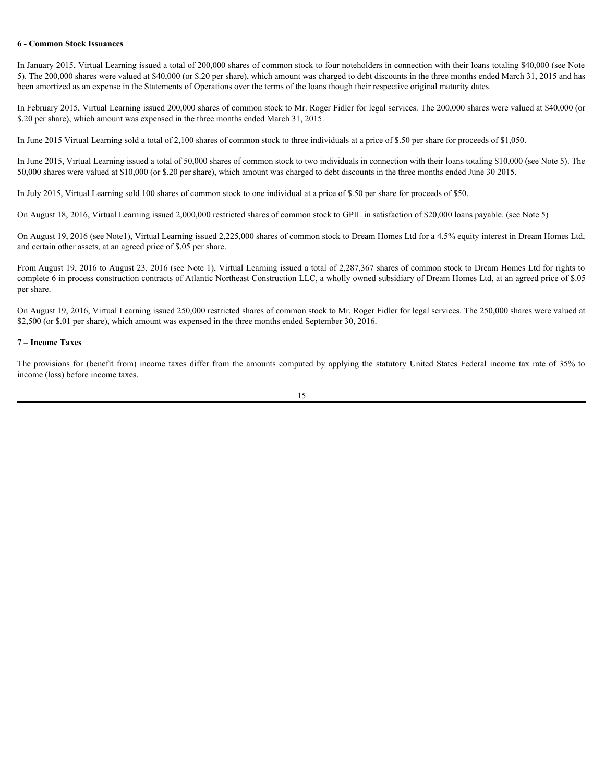#### **6 - Common Stock Issuances**

In January 2015, Virtual Learning issued a total of 200,000 shares of common stock to four noteholders in connection with their loans totaling \$40,000 (see Note 5). The 200,000 shares were valued at \$40,000 (or \$.20 per share), which amount was charged to debt discounts in the three months ended March 31, 2015 and has been amortized as an expense in the Statements of Operations over the terms of the loans though their respective original maturity dates. **G-Common Steck Issuances**<br>CIn Juneary 2015. Virtual Learning issued a roni of 200,000 shares of common stock to four notice/dest in comestion with their monits coldit of all provisions (and a 50,000 cm s shares and amount

In February 2015, Virtual Learning issued 200,000 shares of common stock to Mr. Roger Fidler for legal services. The 200,000 shares were valued at \$40,000 (or \$.20 per share), which amount was expensed in the three months ended March 31, 2015.

In June 2015 Virtual Learning sold a total of 2,100 shares of common stock to three individuals at a price of \$.50 per share for proceeds of \$1,050.

In June 2015, Virtual Learning issued a total of 50,000 shares of common stock to two individuals in connection with their loans totaling \$10,000 (see Note 5). The 50,000 shares were valued at \$10,000 (or \$.20 per share), which amount was charged to debt discounts in the three months ended June 30 2015.

In July 2015, Virtual Learning sold 100 shares of common stock to one individual at a price of \$.50 per share for proceeds of \$50.

On August 18, 2016, Virtual Learning issued 2,000,000 restricted shares of common stock to GPIL in satisfaction of \$20,000 loans payable. (see Note 5)

On August 19, 2016 (see Note1), Virtual Learning issued 2,225,000 shares of common stock to Dream Homes Ltd for a 4.5% equity interest in Dream Homes Ltd, and certain other assets, at an agreed price of \$.05 per share.

From August 19, 2016 to August 23, 2016 (see Note 1), Virtual Learning issued a total of 2,287,367 shares of common stock to Dream Homes Ltd for rights to complete 6 in process construction contracts of Atlantic Northeast Construction LLC, a wholly owned subsidiary of Dream Homes Ltd, at an agreed price of \$.05 per share.

On August 19, 2016, Virtual Learning issued 250,000 restricted shares of common stock to Mr. Roger Fidler for legal services. The 250,000 shares were valued at \$2,500 (or \$.01 per share), which amount was expensed in the three months ended September 30, 2016.

## **7 – Income Taxes**

income (loss) before income taxes.

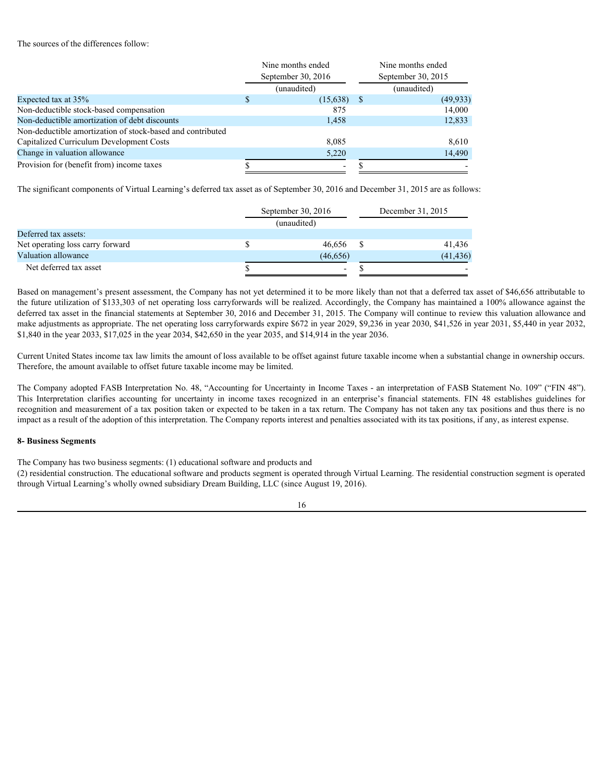#### The sources of the differences follow:

|                                                                                                                                                                                                                                                                                                                                                                                                                                                                                                                                                                                                                                                                    | Nine months ended                 |               | Nine months ended  |
|--------------------------------------------------------------------------------------------------------------------------------------------------------------------------------------------------------------------------------------------------------------------------------------------------------------------------------------------------------------------------------------------------------------------------------------------------------------------------------------------------------------------------------------------------------------------------------------------------------------------------------------------------------------------|-----------------------------------|---------------|--------------------|
|                                                                                                                                                                                                                                                                                                                                                                                                                                                                                                                                                                                                                                                                    | September 30, 2016                |               | September 30, 2015 |
|                                                                                                                                                                                                                                                                                                                                                                                                                                                                                                                                                                                                                                                                    | (unaudited)                       |               | (unaudited)        |
| Expected tax at 35%                                                                                                                                                                                                                                                                                                                                                                                                                                                                                                                                                                                                                                                | $(15,638)$ \$                     |               | (49, 933)          |
| Non-deductible stock-based compensation                                                                                                                                                                                                                                                                                                                                                                                                                                                                                                                                                                                                                            | 875                               |               | 14,000             |
| Non-deductible amortization of debt discounts<br>Non-deductible amortization of stock-based and contributed                                                                                                                                                                                                                                                                                                                                                                                                                                                                                                                                                        | 1,458                             |               | 12,833             |
|                                                                                                                                                                                                                                                                                                                                                                                                                                                                                                                                                                                                                                                                    | 8,085                             |               |                    |
| Capitalized Curriculum Development Costs<br>Change in valuation allowance                                                                                                                                                                                                                                                                                                                                                                                                                                                                                                                                                                                          |                                   |               | 8,610              |
|                                                                                                                                                                                                                                                                                                                                                                                                                                                                                                                                                                                                                                                                    | 5,220                             |               | 14,490             |
| Provision for (benefit from) income taxes                                                                                                                                                                                                                                                                                                                                                                                                                                                                                                                                                                                                                          |                                   | -S            |                    |
| The significant components of Virtual Learning's deferred tax asset as of September 30, 2016 and December 31, 2015 are as follows:                                                                                                                                                                                                                                                                                                                                                                                                                                                                                                                                 | September 30, 2016<br>(unaudited) |               | December 31, 2015  |
| Deferred tax assets:                                                                                                                                                                                                                                                                                                                                                                                                                                                                                                                                                                                                                                               |                                   |               |                    |
| Net operating loss carry forward                                                                                                                                                                                                                                                                                                                                                                                                                                                                                                                                                                                                                                   | 46,656                            | - \$          | 41,436             |
| Valuation allowance                                                                                                                                                                                                                                                                                                                                                                                                                                                                                                                                                                                                                                                | (46, 656)                         |               | (41, 436)          |
| Net deferred tax asset                                                                                                                                                                                                                                                                                                                                                                                                                                                                                                                                                                                                                                             |                                   | $\mathcal{S}$ |                    |
| Based on management's present assessment, the Company has not yet determined it to be more likely than not that a deferred tax asset of \$46,656 attributable to<br>the future utilization of \$133,303 of net operating loss carryforwards will be realized. Accordingly, the Company has maintained a 100% allowance against the<br>deferred tax asset in the financial statements at September 30, 2016 and December 31, 2015. The Company will continue to review this valuation allowance and                                                                                                                                                                 |                                   |               |                    |
| make adjustments as appropriate. The net operating loss carryforwards expire \$672 in year 2029, \$9,236 in year 2030, \$41,526 in year 2031, \$5,440 in year 2032,<br>\$1,840 in the year 2033, \$17,025 in the year 2034, \$42,650 in the year 2035, and \$14,914 in the year 2036.                                                                                                                                                                                                                                                                                                                                                                              |                                   |               |                    |
| Current United States income tax law limits the amount of loss available to be offset against future taxable income when a substantial change in ownership occurs.<br>Therefore, the amount available to offset future taxable income may be limited.                                                                                                                                                                                                                                                                                                                                                                                                              |                                   |               |                    |
| The Company adopted FASB Interpretation No. 48, "Accounting for Uncertainty in Income Taxes - an interpretation of FASB Statement No. 109" ("FIN 48").<br>This Interpretation clarifies accounting for uncertainty in income taxes recognized in an enterprise's financial statements. FIN 48 establishes guidelines for<br>recognition and measurement of a tax position taken or expected to be taken in a tax return. The Company has not taken any tax positions and thus there is no<br>impact as a result of the adoption of this interpretation. The Company reports interest and penalties associated with its tax positions, if any, as interest expense. |                                   |               |                    |
| <b>8- Business Segments</b>                                                                                                                                                                                                                                                                                                                                                                                                                                                                                                                                                                                                                                        |                                   |               |                    |
| The Company has two business segments: (1) educational software and products and                                                                                                                                                                                                                                                                                                                                                                                                                                                                                                                                                                                   |                                   |               |                    |
| (2) residential construction. The educational software and products segment is operated through Virtual Learning. The residential construction segment is operated                                                                                                                                                                                                                                                                                                                                                                                                                                                                                                 |                                   |               |                    |

|                                  | September 30, 2016 | December 31, 2015 |           |  |
|----------------------------------|--------------------|-------------------|-----------|--|
|                                  | (unaudited)        |                   |           |  |
| Deferred tax assets:             |                    |                   |           |  |
| Net operating loss carry forward | 46,656             |                   | 41,436    |  |
| Valuation allowance              | (46, 656)          |                   | (41, 436) |  |
| Net deferred tax asset           | -                  |                   | <b>.</b>  |  |
|                                  |                    |                   |           |  |

## **8- Business Segments**

(2) residential construction. The educational software and products segment is operated through Virtual Learning. The residential construction segment is operated through Virtual Learning's wholly owned subsidiary Dream Building, LLC (since August 19, 2016).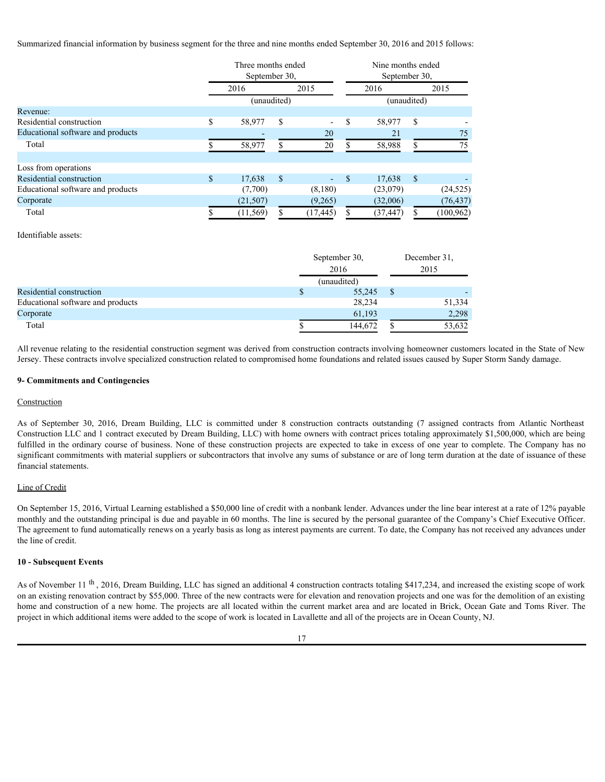Summarized financial information by business segment for the three and nine months ended September 30, 2016 and 2015 follows:

|                                                                                                                                                                     |    | Three months ended |                       |               | Nine months ended |              |            |
|---------------------------------------------------------------------------------------------------------------------------------------------------------------------|----|--------------------|-----------------------|---------------|-------------------|--------------|------------|
|                                                                                                                                                                     |    | September 30,      |                       |               | September 30,     |              |            |
|                                                                                                                                                                     |    | 2016               | 2015                  |               | 2016              |              | 2015       |
|                                                                                                                                                                     |    | (unaudited)        |                       |               | (unaudited)       |              |            |
| Revenue:                                                                                                                                                            |    |                    |                       |               |                   |              |            |
| Residential construction                                                                                                                                            | -8 | 58,977             | - \$                  | -S            | 58,977 \$         |              |            |
| Educational software and products                                                                                                                                   |    |                    | 20                    |               | 21                |              | 75         |
| Total                                                                                                                                                               |    | 58,977             | $\overline{20}$<br>S. | -S            | 58,988            | -S           | $75\,$     |
|                                                                                                                                                                     |    |                    |                       |               |                   |              |            |
| Loss from operations                                                                                                                                                |    |                    |                       |               |                   |              |            |
| Residential construction                                                                                                                                            | -S | 17,638             | $\mathbf{s}$          | $-$ \$        | 17,638 \$         |              |            |
| Educational software and products                                                                                                                                   |    | (7,700)            | (8,180)               |               | (23,079)          |              | (24, 525)  |
| Corporate                                                                                                                                                           |    | (21, 507)          | (9,265)               |               | (32,006)          |              | (76, 437)  |
| Total                                                                                                                                                               |    | (11, 569)          | (17, 445)             | $\mathcal{S}$ | (37, 447)         |              | (100, 962) |
|                                                                                                                                                                     |    |                    |                       |               |                   |              |            |
| Identifiable assets:                                                                                                                                                |    |                    |                       |               |                   |              |            |
|                                                                                                                                                                     |    |                    |                       |               |                   |              |            |
|                                                                                                                                                                     |    |                    |                       | September 30, |                   | December 31, |            |
|                                                                                                                                                                     |    |                    |                       | 2016          |                   | 2015         |            |
|                                                                                                                                                                     |    |                    |                       | (unaudited)   |                   |              |            |
| Residential construction                                                                                                                                            |    |                    | $\mathcal{S}$         |               | $55,245$ \$       |              |            |
| Educational software and products                                                                                                                                   |    |                    |                       | 28,234        |                   |              | 51,334     |
| Corporate                                                                                                                                                           |    |                    |                       | 61,193        |                   |              | 2,298      |
| Total                                                                                                                                                               |    |                    |                       | 144,672       |                   |              |            |
|                                                                                                                                                                     |    |                    |                       |               |                   |              | 53,632     |
| All revenue relating to the residential construction segment was derived from construction contracts involving homeowner customers located in the State of New      |    |                    |                       |               |                   |              |            |
| Jersey. These contracts involve specialized construction related to compromised home foundations and related issues caused by Super Storm Sandy damage.             |    |                    |                       |               |                   |              |            |
|                                                                                                                                                                     |    |                    |                       |               |                   |              |            |
| 9- Commitments and Contingencies                                                                                                                                    |    |                    |                       |               |                   |              |            |
|                                                                                                                                                                     |    |                    |                       |               |                   |              |            |
| Construction                                                                                                                                                        |    |                    |                       |               |                   |              |            |
|                                                                                                                                                                     |    |                    |                       |               |                   |              |            |
| As of September 30, 2016, Dream Building, LLC is committed under 8 construction contracts outstanding (7 assigned contracts from Atlantic Northeast                 |    |                    |                       |               |                   |              |            |
| Construction LLC and 1 contract executed by Dream Building, LLC) with home owners with contract prices totaling approximately \$1,500,000, which are being          |    |                    |                       |               |                   |              |            |
| fulfilled in the ordinary course of business. None of these construction projects are expected to take in excess of one year to complete. The Company has no        |    |                    |                       |               |                   |              |            |
| significant commitments with material suppliers or subcontractors that involve any sums of substance or are of long term duration at the date of issuance of these  |    |                    |                       |               |                   |              |            |
| financial statements.                                                                                                                                               |    |                    |                       |               |                   |              |            |
|                                                                                                                                                                     |    |                    |                       |               |                   |              |            |
| Line of Credit                                                                                                                                                      |    |                    |                       |               |                   |              |            |
|                                                                                                                                                                     |    |                    |                       |               |                   |              |            |
| On September 15, 2016, Virtual Learning established a \$50,000 line of credit with a nonbank lender. Advances under the line bear interest at a rate of 12% payable |    |                    |                       |               |                   |              |            |
| monthly and the outstanding principal is due and payable in 60 months. The line is secured by the personal guarantee of the Company's Chief Executive Officer.      |    |                    |                       |               |                   |              |            |
|                                                                                                                                                                     |    |                    |                       |               |                   |              |            |

#### Identifiable assets:

|                                   |  | September 30,<br>2016 |  | December 31,<br>2015 |  |
|-----------------------------------|--|-----------------------|--|----------------------|--|
|                                   |  |                       |  |                      |  |
|                                   |  | (unaudited)           |  |                      |  |
| Residential construction          |  | 55,245                |  |                      |  |
| Educational software and products |  | 28,234                |  | 51,334               |  |
| Corporate                         |  | 61,193                |  | 2,298                |  |
| Total                             |  | 144,672               |  | 53,632               |  |
|                                   |  |                       |  |                      |  |

## **9- Commitments and Contingencies**

#### **Construction**

## Line of Credit

On September 15, 2016, Virtual Learning established a \$50,000 line of credit with a nonbank lender. Advances under the line bear interest at a rate of 12% payable monthly and the outstanding principal is due and payable in 60 months. The line is secured by the personal guarantee of the Company's Chief Executive Officer. The agreement to fund automatically renews on a yearly basis as long as interest payments are current. To date, the Company has not received any advances under the line of credit.

#### **10 - Subsequent Events**

As of November 11<sup>th</sup>, 2016, Dream Building, LLC has signed an additional 4 construction contracts totaling \$417,234, and increased the existing scope of work on an existing renovation contract by \$55,000. Three of the new contracts were for elevation and renovation projects and one was for the demolition of an existing home and construction of a new home. The projects are all located within the current market area and are located in Brick, Ocean Gate and Toms River. The project in which additional items were added to the scope of work is located in Lavallette and all of the projects are in Ocean County, NJ.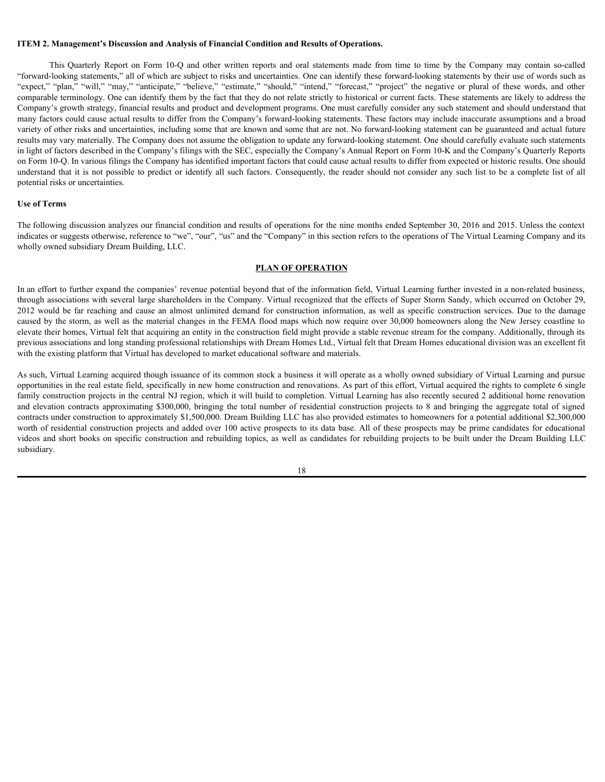#### **ITEM 2. Management's Discussion and Analysis of Financial Condition and Results of Operations.**

**Management's Discussion and Analysis of Financial Condition and Results of Operations.**<br>This Quarterly Report on Form 10-Q and other written reports and oral statements made from time to time by the Company may contain so "forward-looking statements," all of which are subject to risks and uncertainties. One can identify these forward-looking statements by their use of words such as TTEM 2. Management's Discussion and Analysis of Financial Condition and Results of Operations.<br>
This Quarterly Report on Form 10-Q and other written reports and oral statements made from time to time by the Company may con comparable terminology. One can identify them by the fact that they do not relate strictly to historical or current facts. These statements are likely to address the Company's growth strategy, financial results and product and development programs. One must carefully consider any such statement and should understand that many factors could cause actual results to differ from the Company's forward-looking statements. These factors may include inaccurate assumptions and a broad variety of other risks and uncertainties, including some that are known and some that are not. No forward-looking statement can be guaranteed and actual future results may vary materially. The Company does not assume the obligation to update any forward-looking statement. One should carefully evaluate such statements in light of factors described in the Company's filings with the SEC, especially the Company's Annual Report on Form 10-K and the Company's Quarterly Reports on Form 10-Q. In various filings the Company has identified important factors that could cause actual results to differ from expected or historic results. One should understand that it is not possible to predict or identify all such factors. Consequently, the reader should not consider any such list to be a complete list of all potential risks or uncertainties. TIEM 2. Management's Discussion and Analysis of Friancial Condition and Results of Operations.<br>
This Construction Section Results are also demonstrated and the streated match and the formation in Ferrenco." The the streat Expect " plants" phone with the contracts apply the contracts" about " from the contracts apply to regular the signe to response the control of the signed branching in the contracts approximate the signed branching the co

#### **Use of Terms**

The following discussion analyzes our financial condition and results of operations for the nine months ended September 30, 2016 and 2015. Unless the context indicates or suggests otherwise, reference to "we", "our", "us" and the "Company" in this section refers to the operations of The Virtual Learning Company and its wholly owned subsidiary Dream Building, LLC.

#### **PLAN OF OPERATION**

In an effort to further expand the companies' revenue potential beyond that of the information field, Virtual Learning further invested in a non-related business, through associations with several large shareholders in the Company. Virtual recognized that the effects of Super Storm Sandy, which occurred on October 29, caused by the storm, as well as the material changes in the FEMA flood maps which now require over 30,000 homeowners along the New Jersey coastline to elevate their homes, Virtual felt that acquiring an entity in the construction field might provide a stable revenue stream for the company. Additionally, through its previous associations and long standing professional relationships with Dream Homes Ltd., Virtual felt that Dream Homes educational division was an excellent fit with the existing platform that Virtual has developed to market educational software and materials.

As such, Virtual Learning acquired though issuance of its common stock a business it will operate as a wholly owned subsidiary of Virtual Learning and pursue opportunities in the real estate field, specifically in new home construction and renovations. As part of this effort, Virtual acquired the rights to complete 6 single family construction projects in the central NJ region, which it will build to completion. Virtual Learning has also recently secured 2 additional home renovation contracts under construction to approximately \$1,500,000. Dream Building LLC has also provided estimates to homeowners for a potential additional \$2,300,000 worth of residential construction projects and added over 100 active prospects to its data base. All of these prospects may be prime candidates for educational videos and short books on specific construction and rebuilding topics, as well as candidates for rebuilding projects to be built under the Dream Building LLC subsidiary.

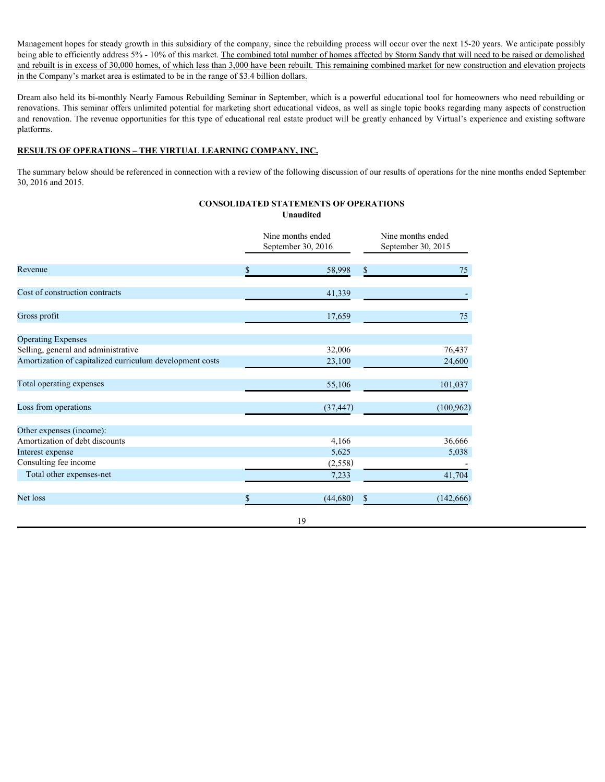Management hopes for steady growth in this subsidiary of the company, since the rebuilding process will occur over the next 15-20 years. We anticipate possibly being able to efficiently address 5% - 10% of this market. The combined total number of homes affected by Storm Sandy that will need to be raised or demolished and rebuilt is in excess of 30,000 homes, of which less than 3,000 have been rebuilt. This remaining combined market for new construction and elevation projects in the Company's market area is estimated to be in the range of \$3.4 billion dollars.

Dream also held its bi-monthly Nearly Famous Rebuilding Seminar in September, which is a powerful educational tool for homeowners who need rebuilding or renovations. This seminar offers unlimited potential for marketing short educational videos, as well as single topic books regarding many aspects of construction and renovation. The revenue opportunities for this type of educational real estate product will be greatly enhanced by Virtual's experience and existing software platforms.

## **RESULTS OF OPERATIONS – THE VIRTUAL LEARNING COMPANY, INC.**

The summary below should be referenced in connection with a review of the following discussion of our results of operations for the nine months ended September 30, 2016 and 2015.

**CONSOLIDATED STATEMENTS OF OPERATIONS**

|                                                          |              | <b>Unaudited</b>                        |                                         |            |  |
|----------------------------------------------------------|--------------|-----------------------------------------|-----------------------------------------|------------|--|
|                                                          |              | Nine months ended<br>September 30, 2016 | Nine months ended<br>September 30, 2015 |            |  |
| Revenue                                                  | \$           | 58,998                                  | $\boldsymbol{\mathsf{S}}$               | 75         |  |
| Cost of construction contracts                           |              | 41,339                                  |                                         |            |  |
| Gross profit                                             |              | 17,659                                  |                                         | 75         |  |
| <b>Operating Expenses</b>                                |              |                                         |                                         |            |  |
| Selling, general and administrative                      |              | 32,006                                  |                                         | 76,437     |  |
| Amortization of capitalized curriculum development costs |              | 23,100                                  |                                         | 24,600     |  |
| Total operating expenses                                 |              | 55,106                                  |                                         | 101,037    |  |
| Loss from operations                                     |              | (37, 447)                               |                                         | (100, 962) |  |
| Other expenses (income):                                 |              |                                         |                                         |            |  |
| Amortization of debt discounts                           |              | 4,166                                   |                                         | 36,666     |  |
| Interest expense                                         |              | 5,625                                   |                                         | 5,038      |  |
| Consulting fee income                                    |              | (2, 558)                                |                                         |            |  |
| Total other expenses-net                                 |              | 7,233                                   |                                         | 41,704     |  |
| Net loss                                                 | $\mathbf{s}$ | (44,680)                                | $\boldsymbol{\mathsf{S}}$               | (142, 666) |  |
|                                                          |              | 19                                      |                                         |            |  |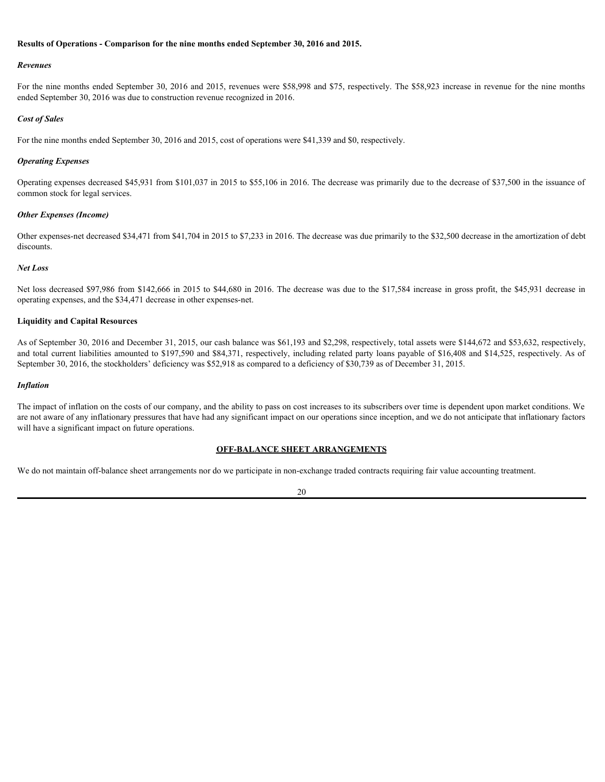#### **Results of Operations - Comparison for the nine months ended September 30, 2016 and 2015.**

#### *Revenues*

For the nine months ended September 30, 2016 and 2015, revenues were \$58,998 and \$75, respectively. The \$58,923 increase in revenue for the nine months ended September 30, 2016 was due to construction revenue recognized in 2016.

#### *Cost of Sales*

For the nine months ended September 30, 2016 and 2015, cost of operations were \$41,339 and \$0, respectively.

#### *Operating Expenses*

Operating expenses decreased \$45,931 from \$101,037 in 2015 to \$55,106 in 2016. The decrease was primarily due to the decrease of \$37,500 in the issuance of common stock for legal services.

#### *Other Expenses (Income)*

Other expenses-net decreased \$34,471 from \$41,704 in 2015 to \$7,233 in 2016. The decrease was due primarily to the \$32,500 decrease in the amortization of debt discounts.

#### *Net Loss*

Net loss decreased \$97,986 from \$142,666 in 2015 to \$44,680 in 2016. The decrease was due to the \$17,584 increase in gross profit, the \$45,931 decrease in operating expenses, and the \$34,471 decrease in other expenses-net.

## **Liquidity and Capital Resources**

As of September 30, 2016 and December 31, 2015, our cash balance was \$61,193 and \$2,298, respectively, total assets were \$144,672 and \$53,632, respectively, and total current liabilities amounted to \$197,590 and \$84,371, respectively, including related party loans payable of \$16,408 and \$14,525, respectively. As of September 30, 2016, the stockholders' deficiency was \$52,918 as compared to a deficiency of \$30,739 as of December 31, 2015.

#### *Inflation*

The impact of inflation on the costs of our company, and the ability to pass on cost increases to its subscribers over time is dependent upon market conditions. We are not aware of any inflationary pressures that have had any significant impact on our operations since inception, and we do not anticipate that inflationary factors will have a significant impact on future operations.

#### **OFF-BALANCE SHEET ARRANGEMENTS**

We do not maintain off-balance sheet arrangements nor do we participate in non-exchange traded contracts requiring fair value accounting treatment.

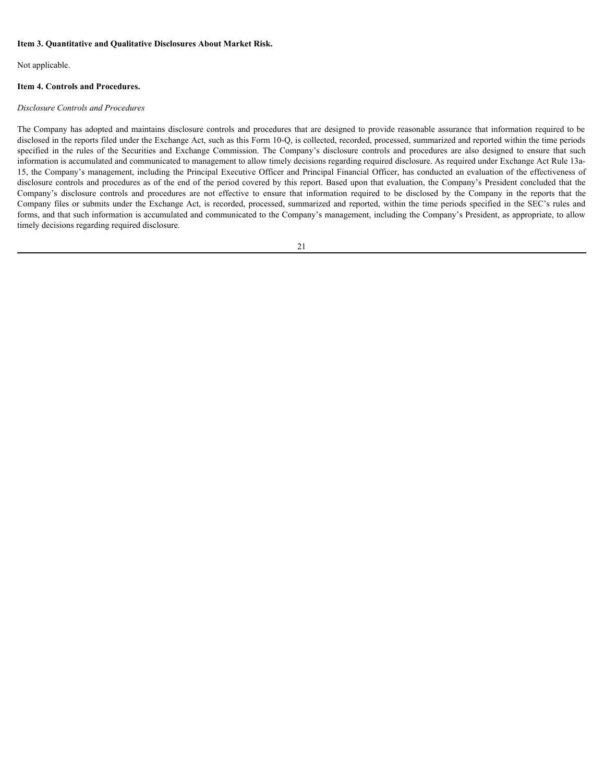#### **Item 3. Quantitative and Qualitative Disclosures About Market Risk.**

Not applicable.

## **Item 4. Controls and Procedures.**

#### *Disclosure Controls and Procedures*

The Company has adopted and maintains disclosure controls and procedures that are designed to provide reasonable assurance that information required to be disclosed in the reports filed under the Exchange Act, such as this Form 10-Q, is collected, recorded, processed, summarized and reported within the time periods Item 3. Quantitative and Qualitative Disclosures About Market Risk.<br>
Noclosure Controls and Procedures.<br>
Disclosure Controls and Procedures.<br>
The Company has adopted and maintains disclosure controls and procedures that ar information is accumulated and communicated to management to allow timely decisions regarding required disclosure. As required under Exchange Act Rule 13a-15, the Company's management, including the Principal Executive Officer and Principal Financial Officer, has conducted an evaluation of the effectiveness of disclosure controls and procedures as of the end of the period covered by this report. Based upon that evaluation, the Company's President concluded that the Item 3. Quantitative and Qualitative Disclosures About Market Risk.<br>
Not opplicable.<br>
Not compute has and *Procedures.*<br>
Disclosure Controls and *Procedures*.<br>
The Company has adopted and minimitary disclosure controls and Company files or submits under the Exchange Act, is recorded, processed, summarized and reported, within the time periods specified in the SEC's rules and forms, and that such information is accumulated and communicated to the Company's management, including the Company's President, as appropriate, to allow timely decisions regarding required disclosure.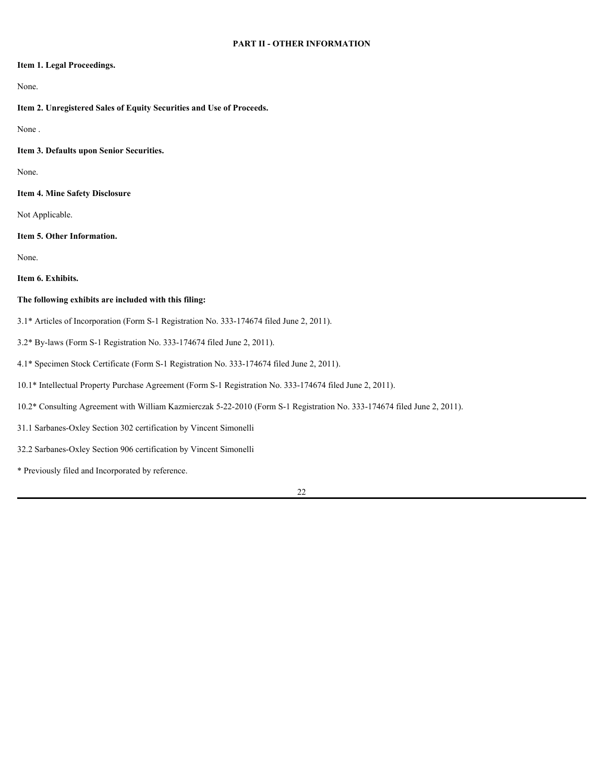## **Item 1. Legal Proceedings.**

## None.

**Item 2. Unregistered Sales of Equity Securities and Use of Proceeds.**

None .

**Item 3. Defaults upon Senior Securities.**

None.

**Item 4. Mine Safety Disclosure**

Not Applicable.

**Item 5. Other Information.**

None.

**Item 6. Exhibits.**

## **The following exhibits are included with this filing:**

- 3.1\* Articles of Incorporation (Form S-1 Registration No. 333-174674 filed June 2, 2011).
- 3.2\* By-laws (Form S-1 Registration No. 333-174674 filed June 2, 2011).
- 4.1\* Specimen Stock Certificate (Form S-1 Registration No. 333-174674 filed June 2, 2011).
- 10.1\* Intellectual Property Purchase Agreement (Form S-1 Registration No. 333-174674 filed June 2, 2011).
- 10.2\* Consulting Agreement with William Kazmierczak 5-22-2010 (Form S-1 Registration No. 333-174674 filed June 2, 2011).
- 31.1 Sarbanes-Oxley Section 302 certification by Vincent Simonelli
- 32.2 Sarbanes-Oxley Section 906 certification by Vincent Simonelli
- \* Previously filed and Incorporated by reference.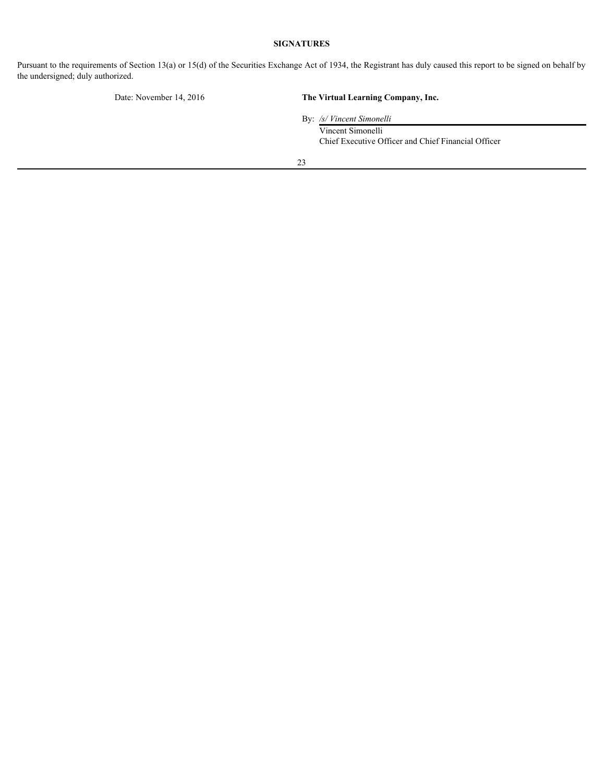## **SIGNATURES**

Pursuant to the requirements of Section 13(a) or 15(d) of the Securities Exchange Act of 1934, the Registrant has duly caused this report to be signed on behalf by the undersigned; duly authorized.

# Date: November 14, 2016 **The Virtual Learning Company, Inc.**

By: */s/ Vincent Simonelli*

Vincent Simonelli Chief Executive Officer and Chief Financial Officer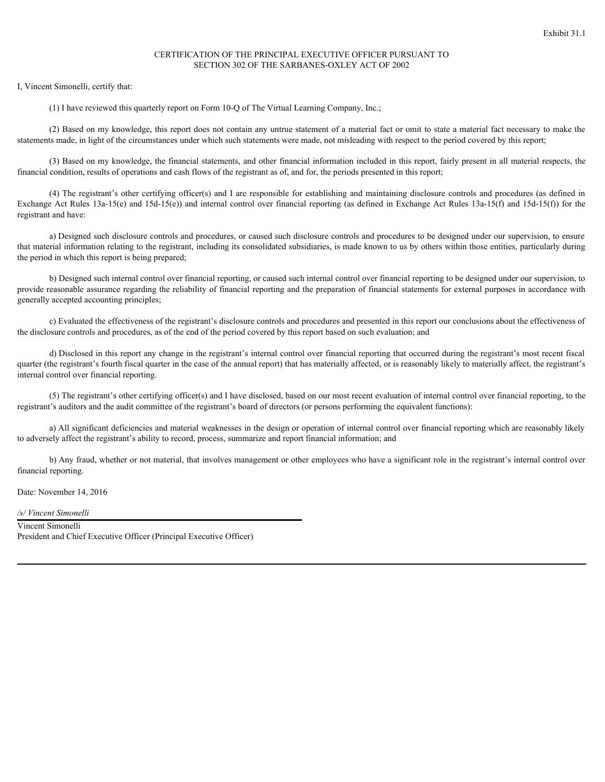## CERTIFICATION OF THE PRINCIPAL EXECUTIVE OFFICER PURSUANT TO SECTION 302 OF THE SARBANES-OXLEY ACT OF 2002

I, Vincent Simonelli, certify that:

(1) I have reviewed this quarterly report on Form 10-Q of The Virtual Learning Company, Inc.;

(2) Based on my knowledge, this report does not contain any untrue statement of a material fact or omit to state a material fact necessary to make the statements made, in light of the circumstances under which such statements were made, not misleading with respect to the period covered by this report;

(3) Based on my knowledge, the financial statements, and other financial information included in this report, fairly present in all material respects, the financial condition, results of operations and cash flows of the registrant as of, and for, the periods presented in this report;

(4) The registrant's other certifying officer(s) and I are responsible for establishing and maintaining disclosure controls and procedures (as defined in Exchange Act Rules 13a-15(e) and 15d-15(e)) and internal control over financial reporting (as defined in Exchange Act Rules 13a-15(f) and 15d-15(f)) for the registrant and have:

a) Designed such disclosure controls and procedures, or caused such disclosure controls and procedures to be designed under our supervision, to ensure that material information relating to the registrant, including its consolidated subsidiaries, is made known to us by others within those entities, particularly during the period in which this report is being prepared;

b) Designed such internal control over financial reporting, or caused such internal control over financial reporting to be designed under our supervision, to provide reasonable assurance regarding the reliability of financial reporting and the preparation of financial statements for external purposes in accordance with generally accepted accounting principles;

c) Evaluated the effectiveness of the registrant's disclosure controls and procedures and presented in this report our conclusions about the effectiveness of the disclosure controls and procedures, as of the end of the period covered by this report based on such evaluation; and

d) Disclosed in this report any change in the registrant's internal control over financial reporting that occurred during the registrant's most recent fiscal quarter (the registrant's fourth fiscal quarter in the case of the annual report) that has materially affected, or is reasonably likely to materially affect, the registrant's internal control over financial reporting.

(5) The registrant's other certifying officer(s) and I have disclosed, based on our most recent evaluation of internal control over financial reporting, to the registrant's auditors and the audit committee of the registrant's board of directors (or persons performing the equivalent functions):

a) All significant deficiencies and material weaknesses in the design or operation of internal control over financial reporting which are reasonably likely to adversely affect the registrant's ability to record, process, summarize and report financial information; and

b) Any fraud, whether or not material, that involves management or other employees who have a significant role in the registrant's internal control over financial reporting.

Date: November 14, 2016

*/s/ Vincent Simonelli*

Vincent Simonelli President and Chief Executive Officer (Principal Executive Officer)